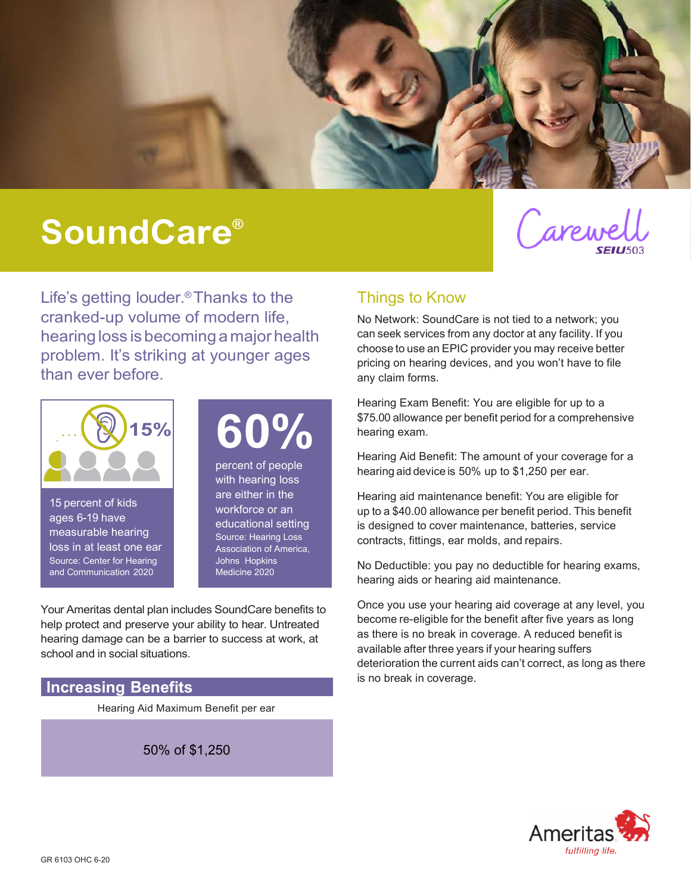

# SoundCare®



Life's getting louder.® Thanks to the cranked-up volume of modern life, hearing loss is becoming a major health problem. It's striking at younger ages than ever before.



15 percent of kids ages 6-19 have measurable hearing loss in at least one ear Source: Center for Hearing and Communication 2020

60%

percent of people with hearing loss are either in the workforce or an educational setting Source: Hearing Loss Association of America, Johns Hopkins Medicine 2020

Your Ameritas dental plan includes SoundCare benefits to help protect and preserve your ability to hear. Untreated hearing damage can be a barrier to success at work, at school and in social situations.

#### Increasing Benefits

Hearing Aid Maximum Benefit per ear

50% of \$1,250

### Things to Know

No Network: SoundCare is not tied to a network; you can seek services from any doctor at any facility. If you choose to use an EPIC provider you may receive better pricing on hearing devices, and you won't have to file any claim forms.

Hearing Exam Benefit: You are eligible for up to a \$75.00 allowance per benefit period for a comprehensive hearing exam.

Hearing Aid Benefit: The amount of your coverage for a hearing aid device is 50% up to \$1,250 per ear.

Hearing aid maintenance benefit: You are eligible for up to a \$40.00 allowance per benefit period. This benefit is designed to cover maintenance, batteries, service contracts, fittings, ear molds, and repairs.

No Deductible: you pay no deductible for hearing exams, hearing aids or hearing aid maintenance.

Once you use your hearing aid coverage at any level, you become re-eligible for the benefit after five years as long as there is no break in coverage. A reduced benefit is available after three years if your hearing suffers deterioration the current aids can't correct, as long as there is no break in coverage.